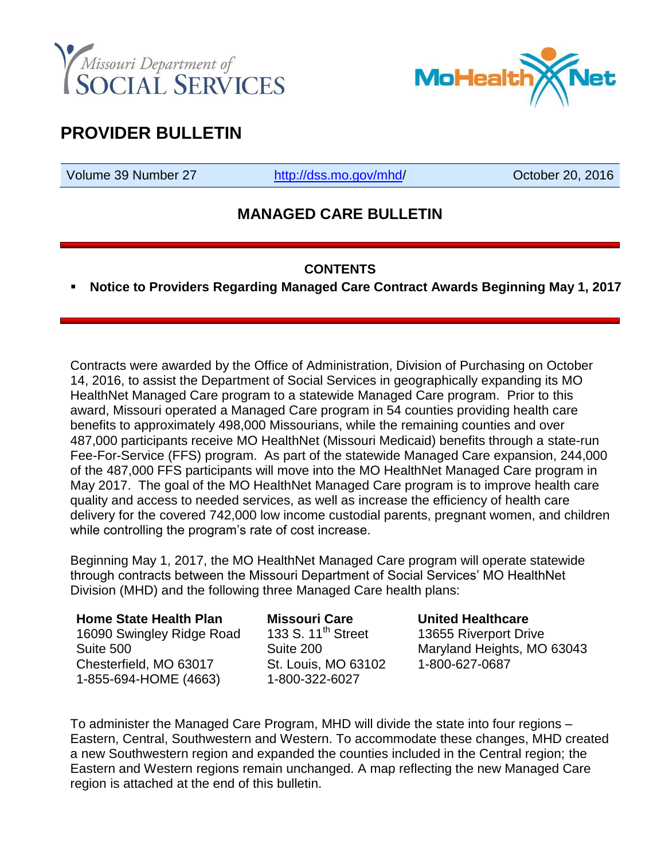



# **PROVIDER BULLETIN**

Volume 39 Number 27 [http://dss.mo.gov/mhd/](http://dss.mo.gov/mhd) Cotober 20, 2016

### **MANAGED CARE BULLETIN**

### **CONTENTS**

**Notice to Providers Regarding Managed Care Contract Awards Beginning May 1, 2017**

Contracts were awarded by the Office of Administration, Division of Purchasing on October 14, 2016, to assist the Department of Social Services in geographically expanding its MO HealthNet Managed Care program to a statewide Managed Care program. Prior to this award, Missouri operated a Managed Care program in 54 counties providing health care benefits to approximately 498,000 Missourians, while the remaining counties and over 487,000 participants receive MO HealthNet (Missouri Medicaid) benefits through a state-run Fee-For-Service (FFS) program. As part of the statewide Managed Care expansion, 244,000 of the 487,000 FFS participants will move into the MO HealthNet Managed Care program in May 2017. The goal of the MO HealthNet Managed Care program is to improve health care quality and access to needed services, as well as increase the efficiency of health care delivery for the covered 742,000 low income custodial parents, pregnant women, and children while controlling the program's rate of cost increase.

Beginning May 1, 2017, the MO HealthNet Managed Care program will operate statewide through contracts between the Missouri Department of Social Services' MO HealthNet Division (MHD) and the following three Managed Care health plans:

### **Home State Health Plan**  16090 Swingley Ridge Road

Suite 500 Chesterfield, MO 63017 1-855-694-HOME (4663) **Missouri Care**  133 S.  $11^{th}$  Street Suite 200 St. Louis, MO 63102 1-800-322-6027

#### **United Healthcare**

13655 Riverport Drive Maryland Heights, MO 63043 1-800-627-0687

To administer the Managed Care Program, MHD will divide the state into four regions – Eastern, Central, Southwestern and Western. To accommodate these changes, MHD created a new Southwestern region and expanded the counties included in the Central region; the Eastern and Western regions remain unchanged. A map reflecting the new Managed Care region is attached at the end of this bulletin.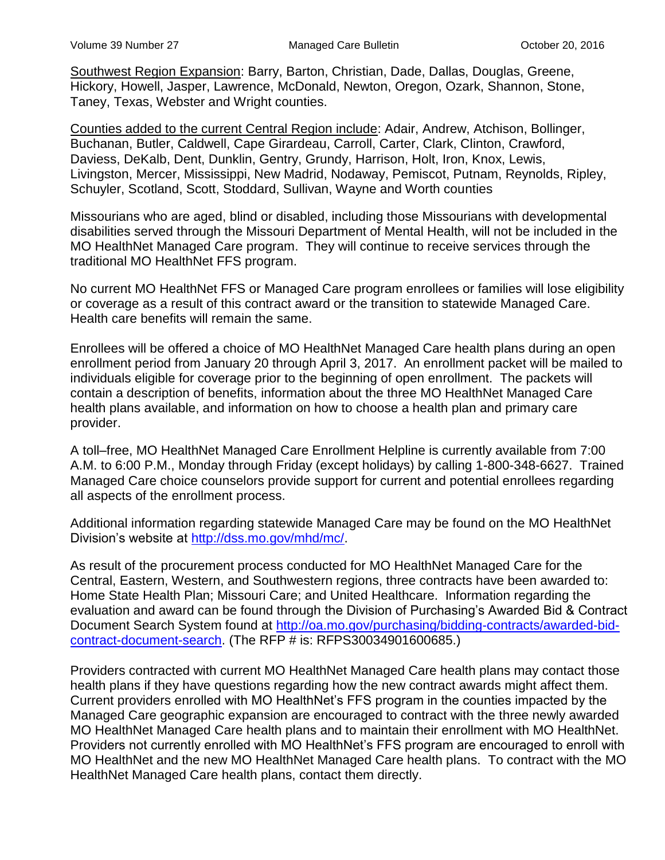Southwest Region Expansion: Barry, Barton, Christian, Dade, Dallas, Douglas, Greene, Hickory, Howell, Jasper, Lawrence, McDonald, Newton, Oregon, Ozark, Shannon, Stone, Taney, Texas, Webster and Wright counties.

Counties added to the current Central Region include: Adair, Andrew, Atchison, Bollinger, Buchanan, Butler, Caldwell, Cape Girardeau, Carroll, Carter, Clark, Clinton, Crawford, Daviess, DeKalb, Dent, Dunklin, Gentry, Grundy, Harrison, Holt, Iron, Knox, Lewis, Livingston, Mercer, Mississippi, New Madrid, Nodaway, Pemiscot, Putnam, Reynolds, Ripley, Schuyler, Scotland, Scott, Stoddard, Sullivan, Wayne and Worth counties

Missourians who are aged, blind or disabled, including those Missourians with developmental disabilities served through the Missouri Department of Mental Health, will not be included in the MO HealthNet Managed Care program. They will continue to receive services through the traditional MO HealthNet FFS program.

No current MO HealthNet FFS or Managed Care program enrollees or families will lose eligibility or coverage as a result of this contract award or the transition to statewide Managed Care. Health care benefits will remain the same.

Enrollees will be offered a choice of MO HealthNet Managed Care health plans during an open enrollment period from January 20 through April 3, 2017. An enrollment packet will be mailed to individuals eligible for coverage prior to the beginning of open enrollment. The packets will contain a description of benefits, information about the three MO HealthNet Managed Care health plans available, and information on how to choose a health plan and primary care provider.

A toll–free, MO HealthNet Managed Care Enrollment Helpline is currently available from 7:00 A.M. to 6:00 P.M., Monday through Friday (except holidays) by calling 1-800-348-6627. Trained Managed Care choice counselors provide support for current and potential enrollees regarding all aspects of the enrollment process.

Additional information regarding statewide Managed Care may be found on the MO HealthNet Division's website at [http://dss.mo.gov/mhd/mc/.](http://dss.mo.gov/mhd/mc/)

As result of the procurement process conducted for MO HealthNet Managed Care for the Central, Eastern, Western, and Southwestern regions, three contracts have been awarded to: Home State Health Plan; Missouri Care; and United Healthcare. Information regarding the evaluation and award can be found through the Division of Purchasing's Awarded Bid & Contract Document Search System found at [http://oa.mo.gov/purchasing/bidding-contracts/awarded-bid](http://oa.mo.gov/purchasing/bidding-contracts/awarded-bid-contract-document-search)[contract-document-search.](http://oa.mo.gov/purchasing/bidding-contracts/awarded-bid-contract-document-search) (The RFP # is: RFPS30034901600685.)

Providers contracted with current MO HealthNet Managed Care health plans may contact those health plans if they have questions regarding how the new contract awards might affect them. Current providers enrolled with MO HealthNet's FFS program in the counties impacted by the Managed Care geographic expansion are encouraged to contract with the three newly awarded MO HealthNet Managed Care health plans and to maintain their enrollment with MO HealthNet. Providers not currently enrolled with MO HealthNet's FFS program are encouraged to enroll with MO HealthNet and the new MO HealthNet Managed Care health plans. To contract with the MO HealthNet Managed Care health plans, contact them directly.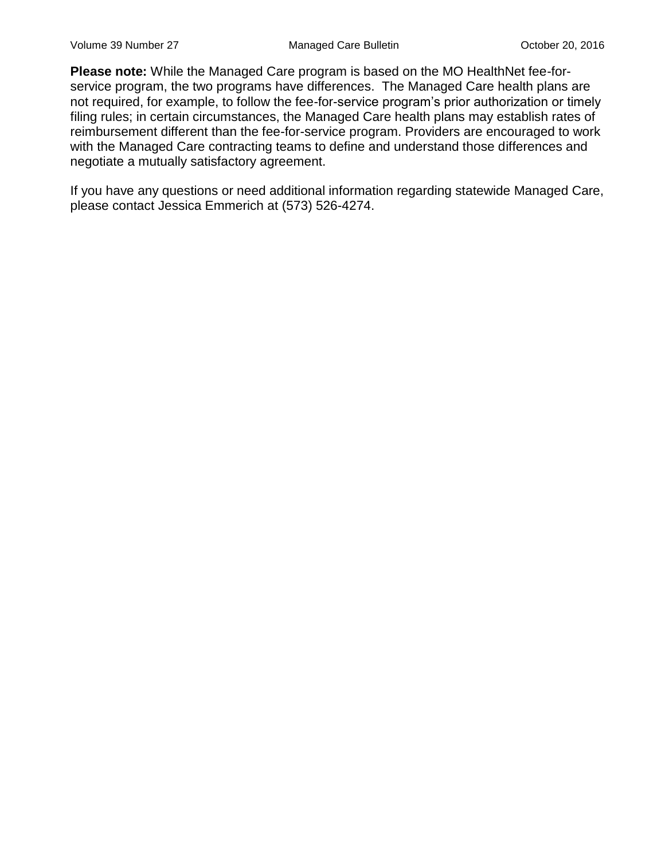**Please note:** While the Managed Care program is based on the MO HealthNet fee-forservice program, the two programs have differences. The Managed Care health plans are not required, for example, to follow the fee-for-service program's prior authorization or timely filing rules; in certain circumstances, the Managed Care health plans may establish rates of reimbursement different than the fee-for-service program. Providers are encouraged to work with the Managed Care contracting teams to define and understand those differences and negotiate a mutually satisfactory agreement.

If you have any questions or need additional information regarding statewide Managed Care, please contact Jessica Emmerich at (573) 526-4274.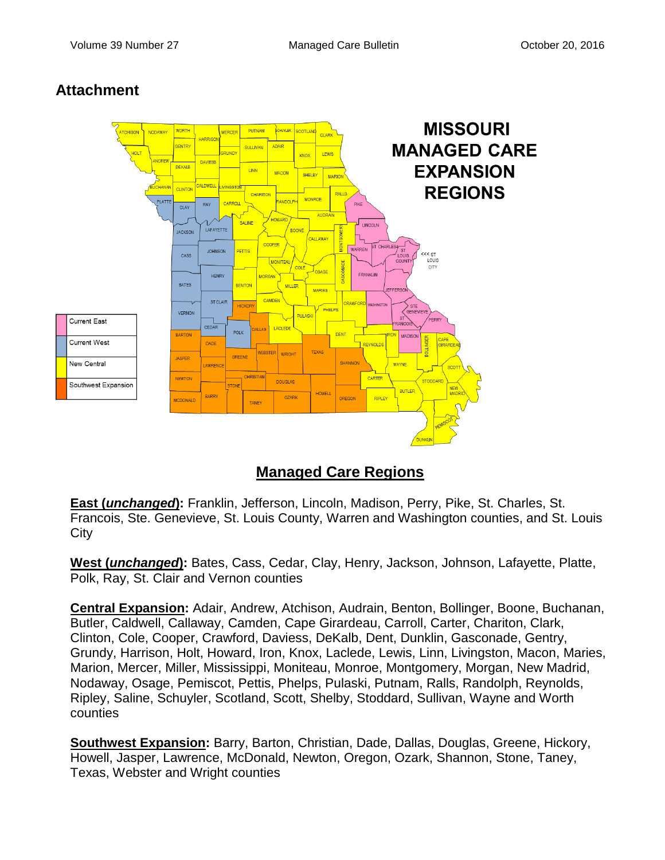### **Attachment**



## **Managed Care Regions**

**East (***unchanged***):** Franklin, Jefferson, Lincoln, Madison, Perry, Pike, St. Charles, St. Francois, Ste. Genevieve, St. Louis County, Warren and Washington counties, and St. Louis **City** 

**West (***unchanged***):** Bates, Cass, Cedar, Clay, Henry, Jackson, Johnson, Lafayette, Platte, Polk, Ray, St. Clair and Vernon counties

**Central Expansion:** Adair, Andrew, Atchison, Audrain, Benton, Bollinger, Boone, Buchanan, Butler, Caldwell, Callaway, Camden, Cape Girardeau, Carroll, Carter, Chariton, Clark, Clinton, Cole, Cooper, Crawford, Daviess, DeKalb, Dent, Dunklin, Gasconade, Gentry, Grundy, Harrison, Holt, Howard, Iron, Knox, Laclede, Lewis, Linn, Livingston, Macon, Maries, Marion, Mercer, Miller, Mississippi, Moniteau, Monroe, Montgomery, Morgan, New Madrid, Nodaway, Osage, Pemiscot, Pettis, Phelps, Pulaski, Putnam, Ralls, Randolph, Reynolds, Ripley, Saline, Schuyler, Scotland, Scott, Shelby, Stoddard, Sullivan, Wayne and Worth counties

**Southwest Expansion:** Barry, Barton, Christian, Dade, Dallas, Douglas, Greene, Hickory, Howell, Jasper, Lawrence, McDonald, Newton, Oregon, Ozark, Shannon, Stone, Taney, Texas, Webster and Wright counties